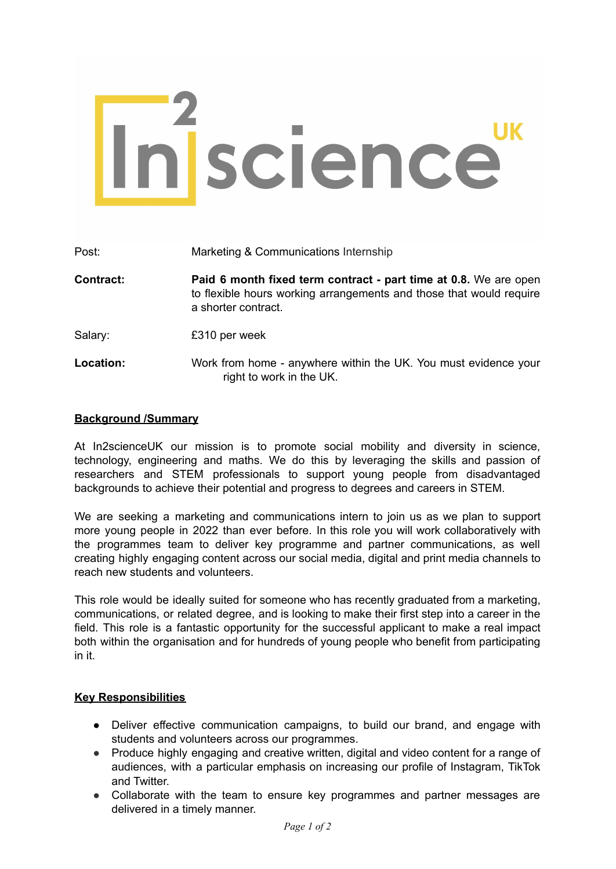# Insscience UK

| Post:            | Marketing & Communications Internship                                                                                                                          |
|------------------|----------------------------------------------------------------------------------------------------------------------------------------------------------------|
| <b>Contract:</b> | Paid 6 month fixed term contract - part time at 0.8. We are open<br>to flexible hours working arrangements and those that would require<br>a shorter contract. |
| Salary:          | £310 per week                                                                                                                                                  |
| Location:        | Work from home - anywhere within the UK. You must evidence your<br>right to work in the UK.                                                                    |

## **Background /Summary**

At In2scienceUK our mission is to promote social mobility and diversity in science, technology, engineering and maths. We do this by leveraging the skills and passion of researchers and STEM professionals to support young people from disadvantaged backgrounds to achieve their potential and progress to degrees and careers in STEM.

We are seeking a marketing and communications intern to join us as we plan to support more young people in 2022 than ever before. In this role you will work collaboratively with the programmes team to deliver key programme and partner communications, as well creating highly engaging content across our social media, digital and print media channels to reach new students and volunteers.

This role would be ideally suited for someone who has recently graduated from a marketing, communications, or related degree, and is looking to make their first step into a career in the field. This role is a fantastic opportunity for the successful applicant to make a real impact both within the organisation and for hundreds of young people who benefit from participating in it.

## **Key Responsibilities**

- Deliver effective communication campaigns, to build our brand, and engage with students and volunteers across our programmes.
- Produce highly engaging and creative written, digital and video content for a range of audiences, with a particular emphasis on increasing our profile of Instagram, TikTok and Twitter.
- Collaborate with the team to ensure key programmes and partner messages are delivered in a timely manner.